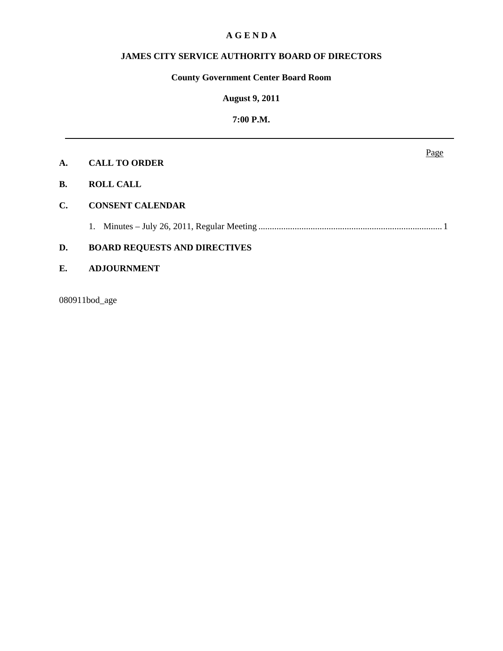## **A G E N D A**

# **JAMES CITY SERVICE AUTHORITY BOARD OF DIRECTORS**

# **County Government Center Board Room**

#### **August 9, 2011**

# **7:00 P.M.**

| <b>CALL TO ORDER</b><br>А. |  |
|----------------------------|--|
|----------------------------|--|

- **B. ROLL CALL**
- **C. CONSENT CALENDAR**

1. Minutes – July 26, 2011, Regular Meeting ................................................................................. 1

# **D. BOARD REQUESTS AND DIRECTIVES**

## **E. ADJOURNMENT**

080911bod\_age

Page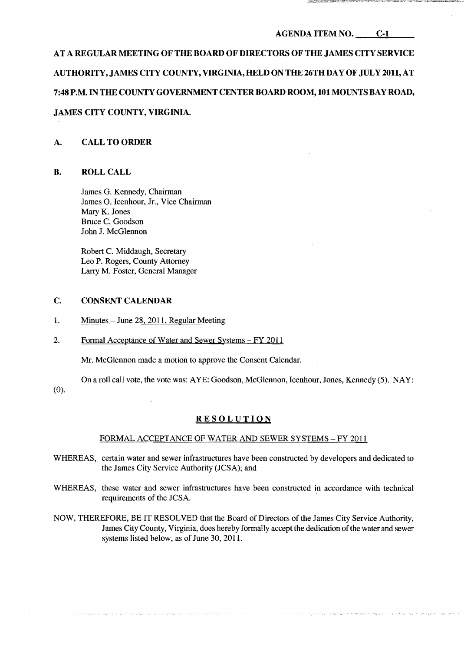### AGENDA ITEM NO. C-1

# AT A REGULAR MEETING OF THE BOARD OF DIRECTORS OF THE JAMES CITY SERVICE AUTHORITY, JAMES CITY COUNTY, VIRGINIA, HELD ON THE 26TH DAY OF JULY 2011, AT 7:48 P.M. IN THE COUNTY GOVERNMENT CENTERBOARD ROOM, 101 MOUNTS BAY ROAD,

# JAMES CITY COUNTY, VIRGINIA.

## A. CALL TO ORDER

#### **B.** ROLL CALL

James G. Kennedy, Chairman James O. Icenhour, Jr., Vice Chairman Mary K. Jones Bruce C. Goodson John J. McGlennon

Robert C. Middaugh, Secretary Leo P. Rogers, County Attorney Larry M. Foster, General Manager

## C. CONSENT CALENDAR

- 1. Minutes June 28, 2011, Regular Meeting
- 2. Formal Acceptance of Water and Sewer Systems FY 2011

Mr. McGlennon made a motion to approve the Consent Calendar.

On a roll call vote, the vote was: AYE: Goodson, McGlennon, Icenhour, Jones, Kennedy (5). NAY:

(0).

# RESOLUTION

## FORMAL ACCEPTANCE OF WATER AND SEWER SYSTEMS - FY 2011

- WHEREAS, certain water and sewer infrastructures have been constructed by developers and dedicated to the James City Service Authority (JCSA); and
- WHEREAS, these water and sewer infrastructures have been constructed in accordance with technical requirements of the JCSA.
- NOW, THEREFORE, BE IT RESOLVED that the Board of Directors of the James City Service Authority, James City County, Virginia, does hereby formally accept the dedication ofthe water and sewer systems listed below, as of June 30, 2011.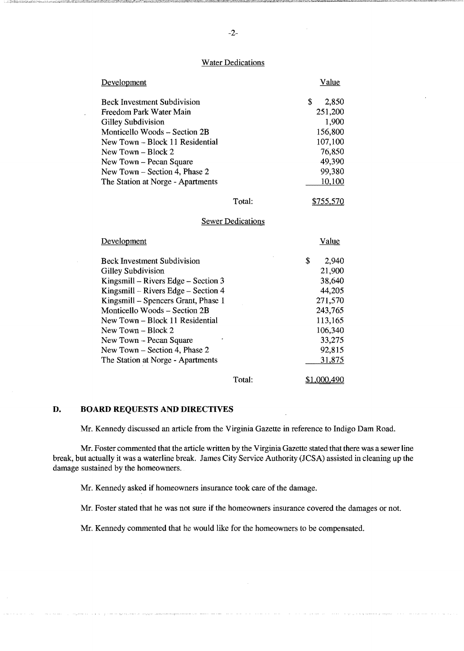#### **Water Dedications**

| Development                        | Value      |
|------------------------------------|------------|
| <b>Beck Investment Subdivision</b> | S<br>2,850 |
| Freedom Park Water Main            | 251,200    |
| Gilley Subdivision                 | 1,900      |
| Monticello Woods – Section 2B      | 156,800    |
| New Town – Block 11 Residential    | 107,100    |
| New Town - Block 2                 | 76,850     |
| New Town - Pecan Square            | 49,390     |
| New Town – Section 4, Phase 2      | 99,380     |
| The Station at Norge - Apartments  | 10,100     |
|                                    |            |

Total:

\$755,570

#### Sewer Dedications

| Development                           |        | Value       |
|---------------------------------------|--------|-------------|
| <b>Beck Investment Subdivision</b>    |        | \$<br>2,940 |
| Gilley Subdivision                    |        | 21,900      |
| Kingsmill – Rivers Edge – Section $3$ |        | 38,640      |
| Kingsmill – Rivers Edge – Section 4   |        | 44,205      |
| Kingsmill – Spencers Grant, Phase 1   |        | 271,570     |
| Monticello Woods – Section 2B         |        | 243,765     |
| New Town – Block 11 Residential       |        | 113,165     |
| New Town $-$ Block 2                  |        | 106,340     |
| $New Town - Pecan Square$             |        | 33,275      |
| New Town – Section 4, Phase 2         |        | 92,815      |
| The Station at Norge - Apartments     |        | 31,875      |
|                                       | Total: | \$1.000.490 |

Total:

### **D. BOARD REQUESTS AND DIRECTIVES**

Mr. Kennedy discussed an article from the Virginia Gazette in reference to Indigo Dam Road.

Mr. Foster commented that the article written by the Virginia Gazette stated that there was a sewer line break, but actually it was a waterline break. James City Service Authority (JCSA) assisted in cleaning up the damage sustained by the homeowners.

Mr. Kennedy asked if homeowners insurance took care of the damage.

Mr. Foster stated that he was not sure if the homeowners insurance covered the damages or not.

Mr. Kennedy commented that he would like for the homeowners to be compensated.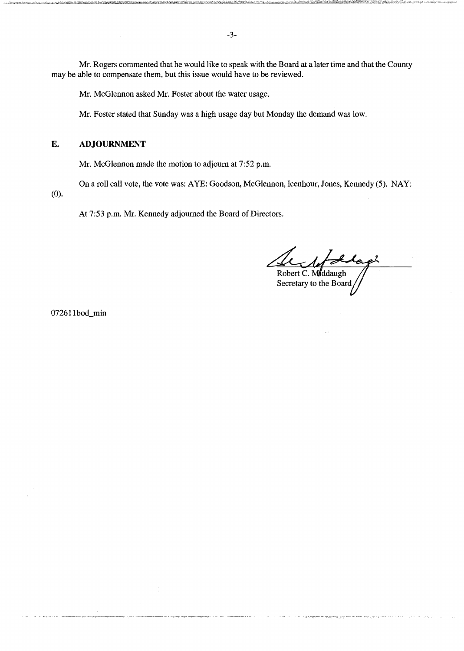Mr. Rogers commented that he would like to speak with the Board at a later time and that the County may be able to compensate them, but this issue would have to be reviewed.

Mr. McGlennon asked Mr. Foster about the water usage.

Mr. Foster stated that Sunday was a high usage day but Monday the demand was low.

## E. ADJOURNMENT

Mr. McGlennon made the motion to adjourn at 7:52 p.m.

On a roll call vote, the vote was: AYE: Goodson, McGlennon, Icenhour, Jones, Kennedy (5). NAY:

(0).

At 7:53 p.m. Mr. Kennedy adjourned the Board of Directors.

Stap Robert C. Middaugh<br>Secretary to the Board

072611bod\_min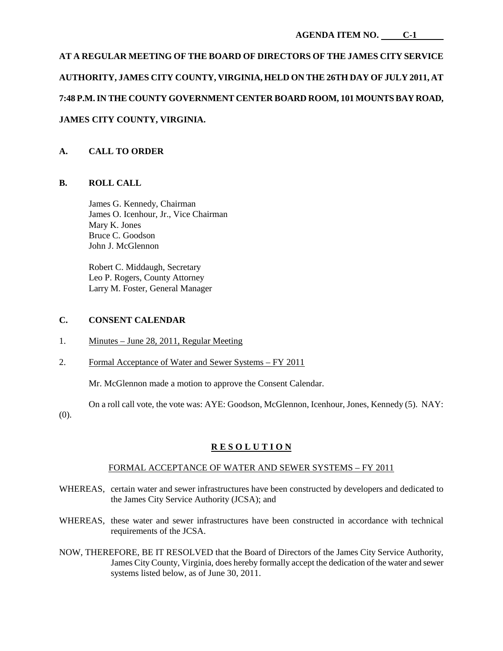# **AT A REGULAR MEETING OF THE BOARD OF DIRECTORS OF THE JAMES CITY SERVICE AUTHORITY, JAMES CITY COUNTY, VIRGINIA, HELD ON THE 26TH DAY OF JULY 2011, AT 7:48 P.M. IN THE COUNTY GOVERNMENT CENTER BOARD ROOM, 101 MOUNTS BAY ROAD, JAMES CITY COUNTY, VIRGINIA.**

# **A. CALL TO ORDER**

# **B. ROLL CALL**

James G. Kennedy, Chairman James O. Icenhour, Jr., Vice Chairman Mary K. Jones Bruce C. Goodson John J. McGlennon

Robert C. Middaugh, Secretary Leo P. Rogers, County Attorney Larry M. Foster, General Manager

#### **C. CONSENT CALENDAR**

- 1. Minutes June 28, 2011, Regular Meeting
- 2. Formal Acceptance of Water and Sewer Systems FY 2011

Mr. McGlennon made a motion to approve the Consent Calendar.

On a roll call vote, the vote was: AYE: Goodson, McGlennon, Icenhour, Jones, Kennedy (5). NAY:

(0).

# **R E S O L U T I O N**

## FORMAL ACCEPTANCE OF WATER AND SEWER SYSTEMS – FY 2011

- WHEREAS, certain water and sewer infrastructures have been constructed by developers and dedicated to the James City Service Authority (JCSA); and
- WHEREAS, these water and sewer infrastructures have been constructed in accordance with technical requirements of the JCSA.
- NOW, THEREFORE, BE IT RESOLVED that the Board of Directors of the James City Service Authority, James City County, Virginia, does hereby formally accept the dedication of the water and sewer systems listed below, as of June 30, 2011.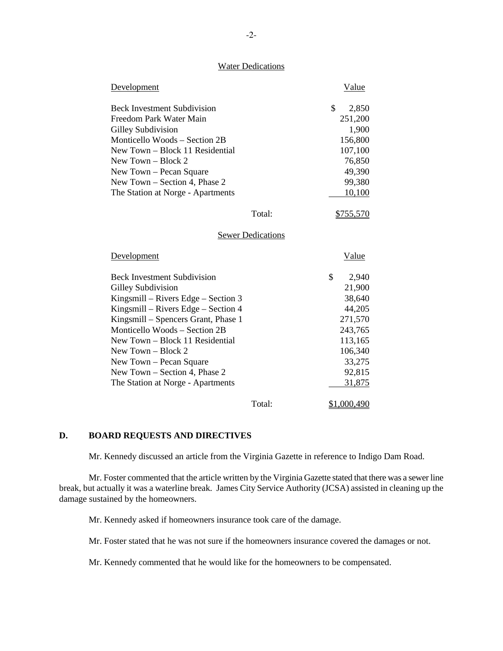#### **Water Dedications**

| Development                         | Value       |
|-------------------------------------|-------------|
| <b>Beck Investment Subdivision</b>  | \$<br>2,850 |
| Freedom Park Water Main             | 251,200     |
| Gilley Subdivision                  | 1,900       |
| Monticello Woods – Section 2B       | 156,800     |
| New Town – Block 11 Residential     | 107,100     |
| New Town $-$ Block 2                | 76,850      |
| New Town - Pecan Square             | 49,390      |
| New Town - Section 4, Phase 2       | 99,380      |
| The Station at Norge - Apartments   | 10,100      |
| Total:                              | \$755,570   |
| <b>Sewer Dedications</b>            |             |
| Development                         | Value       |
|                                     |             |
| <b>Beck Investment Subdivision</b>  | \$<br>2,940 |
| Gilley Subdivision                  | 21,900      |
| Kingsmill – Rivers Edge – Section 3 | 38,640      |
| Kingsmill - Rivers Edge - Section 4 | 44,205      |
| Kingsmill – Spencers Grant, Phase 1 | 271,570     |
| Monticello Woods - Section 2B       | 243,765     |
| New Town - Block 11 Residential     | 113,165     |
| New Town - Block 2                  | 106,340     |
| New Town – Pecan Square             | 33,275      |
| New Town – Section 4, Phase 2       | 92,815      |
| The Station at Norge - Apartments   | 31,875      |

# **D. BOARD REQUESTS AND DIRECTIVES**

Mr. Kennedy discussed an article from the Virginia Gazette in reference to Indigo Dam Road.

Mr. Foster commented that the article written by the Virginia Gazette stated that there was a sewer line break, but actually it was a waterline break. James City Service Authority (JCSA) assisted in cleaning up the damage sustained by the homeowners.

Mr. Kennedy asked if homeowners insurance took care of the damage.

Mr. Foster stated that he was not sure if the homeowners insurance covered the damages or not.

Mr. Kennedy commented that he would like for the homeowners to be compensated.